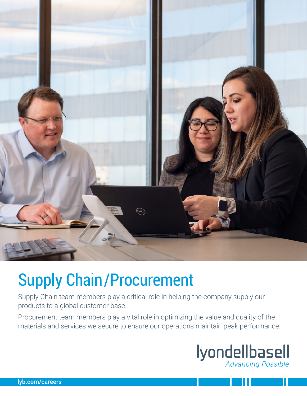

# Supply Chain/Procurement

Supply Chain team members play a critical role in helping the company supply our products to a global customer base.

Procurement team members play a vital role in optimizing the value and quality of the materials and services we secure to ensure our operations maintain peak performance.